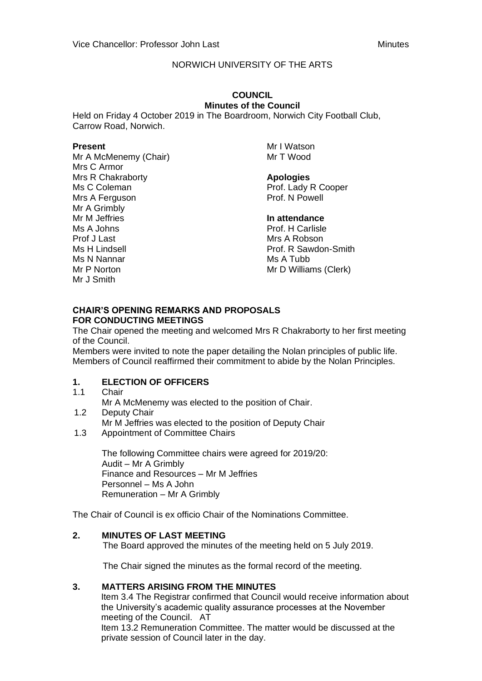# NORWICH UNIVERSITY OF THE ARTS

#### **COUNCIL Minutes of the Council**

Held on Friday 4 October 2019 in The Boardroom, Norwich City Football Club, Carrow Road, Norwich.

#### **Present**

Mr A McMenemy (Chair) Mrs C Armor Mrs R Chakraborty Ms C Coleman Mrs A Ferguson Mr A Grimbly Mr M Jeffries Ms A Johns Prof J Last Ms H Lindsell Ms N Nannar Mr P Norton Mr J Smith

Mr I Watson Mr T Wood

### **Apologies**

Prof. Lady R Cooper Prof. N Powell

### **In attendance**

Prof. H Carlisle Mrs A Robson Prof. R Sawdon-Smith Ms A Tubb Mr D Williams (Clerk)

#### **CHAIR'S OPENING REMARKS AND PROPOSALS FOR CONDUCTING MEETINGS**

The Chair opened the meeting and welcomed Mrs R Chakraborty to her first meeting of the Council.

Members were invited to note the paper detailing the Nolan principles of public life. Members of Council reaffirmed their commitment to abide by the Nolan Principles.

# **1. ELECTION OF OFFICERS**

- 1.1 Chair
	- Mr A McMenemy was elected to the position of Chair.
- 1.2 Deputy Chair Mr M Jeffries was elected to the position of Deputy Chair
- 1.3 Appointment of Committee Chairs

The following Committee chairs were agreed for 2019/20: Audit – Mr A Grimbly Finance and Resources – Mr M Jeffries Personnel – Ms A John Remuneration – Mr A Grimbly

The Chair of Council is ex officio Chair of the Nominations Committee.

# **2. MINUTES OF LAST MEETING**

The Board approved the minutes of the meeting held on 5 July 2019.

The Chair signed the minutes as the formal record of the meeting.

# **3. MATTERS ARISING FROM THE MINUTES**

Item 3.4 The Registrar confirmed that Council would receive information about the University's academic quality assurance processes at the November meeting of the Council. AT

Item 13.2 Remuneration Committee. The matter would be discussed at the private session of Council later in the day.